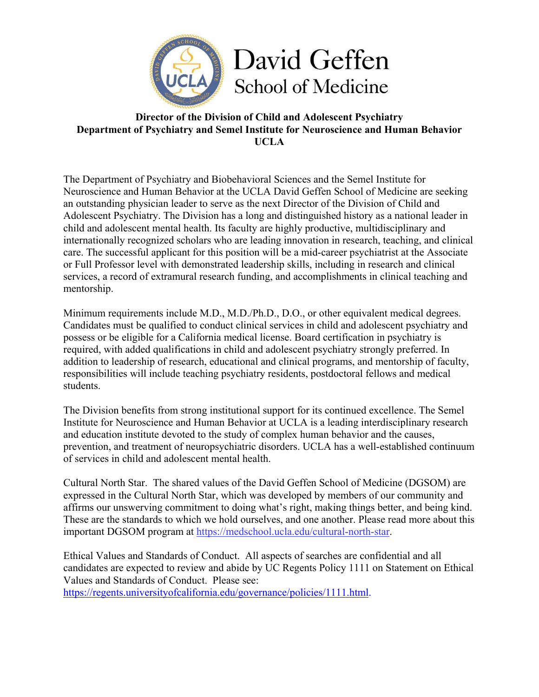

## **Director of the Division of Child and Adolescent Psychiatry Department of Psychiatry and Semel Institute for Neuroscience and Human Behavior UCLA**

The Department of Psychiatry and Biobehavioral Sciences and the Semel Institute for Neuroscience and Human Behavior at the UCLA David Geffen School of Medicine are seeking an outstanding physician leader to serve as the next Director of the Division of Child and Adolescent Psychiatry. The Division has a long and distinguished history as a national leader in child and adolescent mental health. Its faculty are highly productive, multidisciplinary and internationally recognized scholars who are leading innovation in research, teaching, and clinical care. The successful applicant for this position will be a mid-career psychiatrist at the Associate or Full Professor level with demonstrated leadership skills, including in research and clinical services, a record of extramural research funding, and accomplishments in clinical teaching and mentorship.

Minimum requirements include M.D., M.D./Ph.D., D.O., or other equivalent medical degrees. Candidates must be qualified to conduct clinical services in child and adolescent psychiatry and possess or be eligible for a California medical license. Board certification in psychiatry is required, with added qualifications in child and adolescent psychiatry strongly preferred. In addition to leadership of research, educational and clinical programs, and mentorship of faculty, responsibilities will include teaching psychiatry residents, postdoctoral fellows and medical students.

The Division benefits from strong institutional support for its continued excellence. The Semel Institute for Neuroscience and Human Behavior at UCLA is a leading interdisciplinary research and education institute devoted to the study of complex human behavior and the causes, prevention, and treatment of neuropsychiatric disorders. UCLA has a well-established continuum of services in child and adolescent mental health.

Cultural North Star. The shared values of the David Geffen School of Medicine (DGSOM) are expressed in the Cultural North Star, which was developed by members of our community and affirms our unswerving commitment to doing what's right, making things better, and being kind. These are the standards to which we hold ourselves, and one another. Please read more about this important DGSOM program at https://medschool.ucla.edu/cultural-north-star.

Ethical Values and Standards of Conduct. All aspects of searches are confidential and all candidates are expected to review and abide by UC Regents Policy 1111 on Statement on Ethical Values and Standards of Conduct. Please see:

https://regents.universityofcalifornia.edu/governance/policies/1111.html.